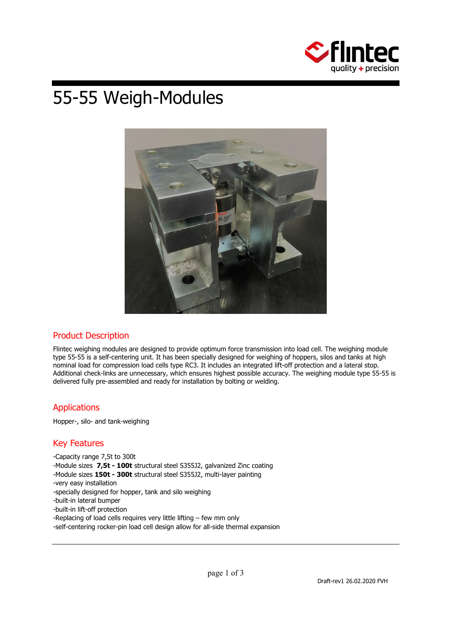

# 55-55 Weigh-Modules



# Product Description

Flintec weighing modules are designed to provide optimum force transmission into load cell. The weighing module type 55-55 is a self-centering unit. It has been specially designed for weighing of hoppers, silos and tanks at high nominal load for compression load cells type RC3. It includes an integrated lift-off protection and a lateral stop. Additional check-links are unnecessary, which ensures highest possible accuracy. The weighing module type 55-55 is delivered fully pre-assembled and ready for installation by bolting or welding.

# **Applications**

Hopper-, silo- and tank-weighing

# Key Features

- -Capacity range 7,5t to 300t
- -Module sizes **7,5t 100t** structural steel S355J2, galvanized Zinc coating
- -Module sizes **150t 300t** structural steel S355J2, multi-layer painting
- -very easy installation
- -specially designed for hopper, tank and silo weighing
- -built-in lateral bumper
- -built-in lift-off protection
- -Replacing of load cells requires very little lifting few mm only
- -self-centering rocker-pin load cell design allow for all-side thermal expansion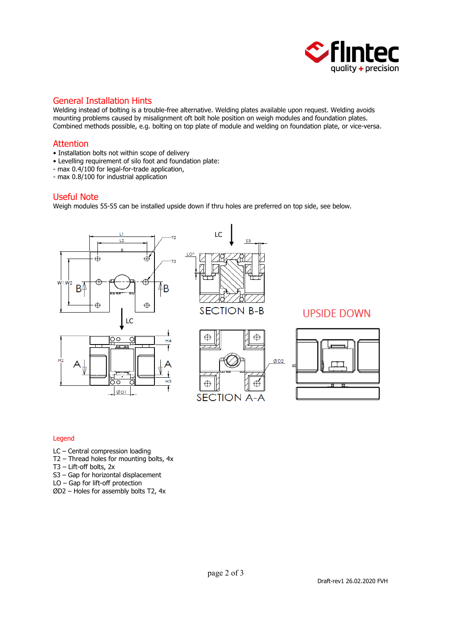

## General Installation Hints

Welding instead of bolting is a trouble-free alternative. Welding plates available upon request. Welding avoids mounting problems caused by misalignment oft bolt hole position on weigh modules and foundation plates. Combined methods possible, e.g. bolting on top plate of module and welding on foundation plate, or vice-versa.

### Attention

- Installation bolts not within scope of delivery
- Levelling requirement of silo foot and foundation plate:
- max 0.4/100 for legal-for-trade application,
- max 0.8/100 for industrial application

#### Useful Note

Weigh modules 55-55 can be installed upside down if thru holes are preferred on top side, see below.



#### Legend

- LC Central compression loading
- T2 Thread holes for mounting bolts, 4x
- T3 Lift-off bolts, 2x
- S3 Gap for horizontal displacement
- LO Gap for lift-off protection
- ØD2 Holes for assembly bolts T2, 4x